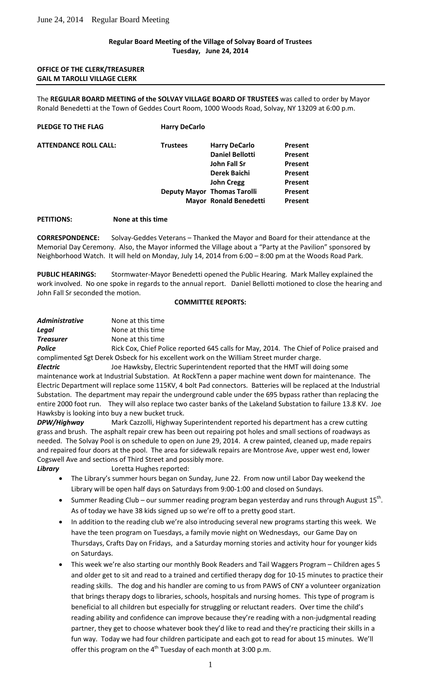## **Regular Board Meeting of the Village of Solvay Board of Trustees Tuesday, June 24, 2014**

## **OFFICE OF THE CLERK/TREASURER GAIL M TAROLLI VILLAGE CLERK**

The **REGULAR BOARD MEETING of the SOLVAY VILLAGE BOARD OF TRUSTEES** was called to order by Mayor Ronald Benedetti at the Town of Geddes Court Room, 1000 Woods Road, Solvay, NY 13209 at 6:00 p.m.

| PLEDGE TO THE FLAG           | <b>Harry DeCarlo</b> |                                    |                |
|------------------------------|----------------------|------------------------------------|----------------|
| <b>ATTENDANCE ROLL CALL:</b> | <b>Trustees</b>      | <b>Harry DeCarlo</b>               | <b>Present</b> |
|                              |                      | <b>Daniel Bellotti</b>             | <b>Present</b> |
|                              |                      | John Fall Sr                       | <b>Present</b> |
|                              |                      | <b>Derek Baichi</b>                | <b>Present</b> |
|                              |                      | <b>John Cregg</b>                  | <b>Present</b> |
|                              |                      | <b>Deputy Mayor Thomas Tarolli</b> | <b>Present</b> |
|                              |                      | <b>Mayor Ronald Benedetti</b>      | Present        |
|                              |                      |                                    |                |

### **PETITIONS: None at this time**

**CORRESPONDENCE:** Solvay-Geddes Veterans – Thanked the Mayor and Board for their attendance at the Memorial Day Ceremony. Also, the Mayor informed the Village about a "Party at the Pavilion" sponsored by Neighborhood Watch. It will held on Monday, July 14, 2014 from 6:00 – 8:00 pm at the Woods Road Park.

**PUBLIC HEARINGS:** Stormwater-Mayor Benedetti opened the Public Hearing. Mark Malley explained the work involved. No one spoke in regards to the annual report. Daniel Bellotti motioned to close the hearing and John Fall Sr seconded the motion.

#### **COMMITTEE REPORTS:**

| <b>Administrative</b> | None at this time |
|-----------------------|-------------------|
| Legal                 | None at this time |
| <b>Treasurer</b>      | None at this time |

**Police** Rick Cox, Chief Police reported 645 calls for May, 2014. The Chief of Police praised and complimented Sgt Derek Osbeck for his excellent work on the William Street murder charge.

*Electric* Joe Hawksby, Electric Superintendent reported that the HMT will doing some maintenance work at Industrial Substation. At RockTenn a paper machine went down for maintenance. The Electric Department will replace some 115KV, 4 bolt Pad connectors. Batteries will be replaced at the Industrial Substation. The department may repair the underground cable under the 695 bypass rather than replacing the entire 2000 foot run. They will also replace two caster banks of the Lakeland Substation to failure 13.8 KV. Joe Hawksby is looking into buy a new bucket truck.

*DPW/Highway* Mark Cazzolli, Highway Superintendent reported his department has a crew cutting grass and brush. The asphalt repair crew has been out repairing pot holes and small sections of roadways as needed. The Solvay Pool is on schedule to open on June 29, 2014. A crew painted, cleaned up, made repairs and repaired four doors at the pool. The area for sidewalk repairs are Montrose Ave, upper west end, lower Cogswell Ave and sections of Third Street and possibly more.

**Library Loretta Hughes reported:** 

- The Library's summer hours began on Sunday, June 22. From now until Labor Day weekend the Library will be open half days on Saturdays from 9:00-1:00 and closed on Sundays.
- Summer Reading Club our summer reading program began yesterday and runs through August  $15<sup>th</sup>$ . As of today we have 38 kids signed up so we're off to a pretty good start.
- In addition to the reading club we're also introducing several new programs starting this week. We have the teen program on Tuesdays, a family movie night on Wednesdays, our Game Day on Thursdays, Crafts Day on Fridays, and a Saturday morning stories and activity hour for younger kids on Saturdays.
- This week we're also starting our monthly Book Readers and Tail Waggers Program Children ages 5 and older get to sit and read to a trained and certified therapy dog for 10-15 minutes to practice their reading skills. The dog and his handler are coming to us from PAWS of CNY a volunteer organization that brings therapy dogs to libraries, schools, hospitals and nursing homes. This type of program is beneficial to all children but especially for struggling or reluctant readers. Over time the child's reading ability and confidence can improve because they're reading with a non-judgmental reading partner, they get to choose whatever book they'd like to read and they're practicing their skills in a fun way. Today we had four children participate and each got to read for about 15 minutes. We'll offer this program on the  $4<sup>th</sup>$  Tuesday of each month at 3:00 p.m.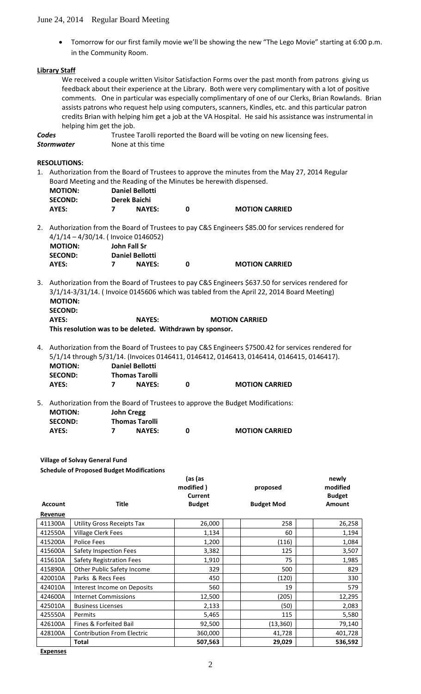• Tomorrow for our first family movie we'll be showing the new "The Lego Movie" starting at 6:00 p.m. in the Community Room.

# **Library Staff**

We received a couple written Visitor Satisfaction Forms over the past month from patrons giving us feedback about their experience at the Library. Both were very complimentary with a lot of positive comments. One in particular was especially complimentary of one of our Clerks, Brian Rowlands. Brian assists patrons who request help using computers, scanners, Kindles, etc. and this particular patron credits Brian with helping him get a job at the VA Hospital. He said his assistance was instrumental in helping him get the job.

**AYES: 7 NAYES: 0 MOTION CARRIED**

**Codes** Trustee Tarolli reported the Board will be voting on new licensing fees. **Stormwater** None at this time

**RESOLUTIONS:**

1. Authorization from the Board of Trustees to approve the minutes from the May 27, 2014 Regular Board Meeting and the Reading of the Minutes be herewith dispensed.

| <b>MOTION:</b> | <b>Daniel Bellotti</b> |               |   |  |
|----------------|------------------------|---------------|---|--|
| <b>SECOND:</b> | Derek Baichi           |               |   |  |
| AYES:          |                        | <b>NAYES:</b> | O |  |

2. Authorization from the Board of Trustees to pay C&S Engineers \$85.00 for services rendered for 4/1/14 – 4/30/14. ( Invoice 0146052)

| <b>MOTION:</b> | John Fall Sr |                        |                       |
|----------------|--------------|------------------------|-----------------------|
| <b>SECOND:</b> |              | <b>Daniel Bellotti</b> |                       |
| AYES:          |              | <b>NAYES:</b>          | <b>MOTION CARRIED</b> |

3. Authorization from the Board of Trustees to pay C&S Engineers \$637.50 for services rendered for 3/1/14-3/31/14. ( Invoice 0145606 which was tabled from the April 22, 2014 Board Meeting)  **MOTION: SECOND:**

**AYES: NAYES: MOTION CARRIED This resolution was to be deleted. Withdrawn by sponsor.**

4. Authorization from the Board of Trustees to pay C&S Engineers \$7500.42 for services rendered for 5/1/14 through 5/31/14. (Invoices 0146411, 0146412, 0146413, 0146414, 0146415, 0146417). **MOTION: Daniel Bellotti SECOND: Thomas Tarolli**

|                                  | 5. Authorization from the Board of Trustees to approve the Budget Modifications: |
|----------------------------------|----------------------------------------------------------------------------------|
| <b>MOTION:</b><br><b>SECOND:</b> | <b>John Cregg</b><br><b>Thomas Tarolli</b>                                       |

**AYES: 7 NAYES: 0 MOTION CARRIED**

| AYES: | <b>NAYES:</b> | <b>MOTION CARRIED</b> |
|-------|---------------|-----------------------|
|       |               |                       |

**Village of Solvay General Fund Schedule of Proposed Budget Modifications**

|                |                                   | (as (as<br>modified)<br>Current | proposed          | newly<br>modified<br><b>Budget</b> |
|----------------|-----------------------------------|---------------------------------|-------------------|------------------------------------|
| <b>Account</b> | <b>Title</b>                      | <b>Budget</b>                   | <b>Budget Mod</b> | <b>Amount</b>                      |
| Revenue        |                                   |                                 |                   |                                    |
| 411300A        | <b>Utility Gross Receipts Tax</b> | 26,000                          | 258               | 26,258                             |
| 412550A        | <b>Village Clerk Fees</b>         | 1,134                           | 60                | 1,194                              |
| 415200A        | Police Fees                       | 1,200                           | (116)             | 1,084                              |
| 415600A        | Safety Inspection Fees            | 3,382                           | 125               | 3,507                              |
| 415610A        | Safety Registration Fees          | 1,910                           | 75                | 1,985                              |
| 415890A        | Other Public Safety Income        | 329                             | 500               | 829                                |
| 420010A        | Parks & Recs Fees                 | 450                             | (120)             | 330                                |
| 424010A        | Interest Income on Deposits       | 560                             | 19                | 579                                |
| 424600A        | <b>Internet Commissions</b>       | 12,500                          | (205)             | 12,295                             |
| 425010A        | <b>Business Licenses</b>          | 2,133                           | (50)              | 2,083                              |
| 425550A        | Permits                           | 5,465                           | 115               | 5,580                              |
| 426100A        | Fines & Forfeited Bail            | 92,500                          | (13, 360)         | 79,140                             |
| 428100A        | <b>Contribution From Electric</b> | 360,000                         | 41,728            | 401,728                            |
|                | <b>Total</b>                      | 507,563                         | 29,029            | 536,592                            |

**Expenses**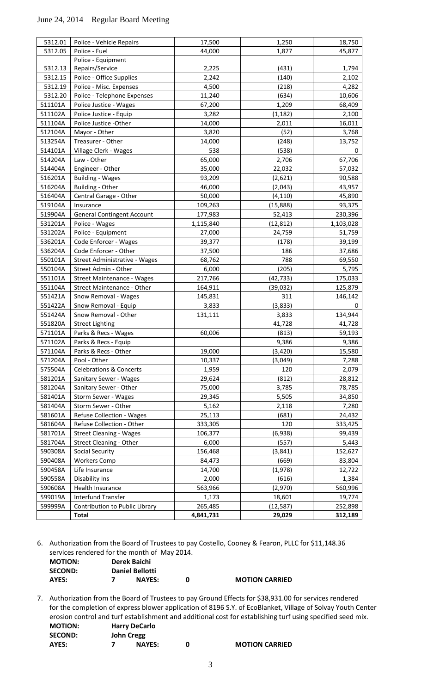| 5312.01 | Police - Vehicle Repairs           | 17,500    | 1,250     | 18,750      |
|---------|------------------------------------|-----------|-----------|-------------|
| 5312.05 | Police - Fuel                      | 44,000    | 1,877     | 45,877      |
|         | Police - Equipment                 |           |           |             |
| 5312.13 | Repairs/Service                    | 2,225     | (431)     | 1,794       |
| 5312.15 | Police - Office Supplies           | 2,242     | (140)     | 2,102       |
| 5312.19 | Police - Misc. Expenses            | 4,500     | (218)     | 4,282       |
| 5312.20 | Police - Telephone Expenses        | 11,240    | (634)     | 10,606      |
| 511101A | Police Justice - Wages             | 67,200    | 1,209     | 68,409      |
| 511102A | Police Justice - Equip             | 3,282     | (1, 182)  | 2,100       |
| 511104A | Police Justice -Other              | 14,000    | 2,011     | 16,011      |
| 512104A | Mayor - Other                      | 3,820     | (52)      | 3,768       |
| 513254A | Treasurer - Other                  | 14,000    | (248)     | 13,752      |
| 514101A | Village Clerk - Wages              | 538       | (538)     | 0           |
| 514204A | Law - Other                        | 65,000    | 2,706     | 67,706      |
| 514404A | Engineer - Other                   | 35,000    | 22,032    | 57,032      |
| 516201A | <b>Building - Wages</b>            | 93,209    | (2,621)   | 90,588      |
| 516204A | Building - Other                   | 46,000    | (2,043)   | 43,957      |
| 516404A | Central Garage - Other             | 50,000    | (4, 110)  | 45,890      |
| 519104A | Insurance                          | 109,263   | (15, 888) | 93,375      |
| 519904A | <b>General Contingent Account</b>  | 177,983   | 52,413    | 230,396     |
| 531201A | Police - Wages                     | 1,115,840 | (12, 812) | 1,103,028   |
| 531202A | Police - Equipment                 | 27,000    | 24,759    | 51,759      |
| 536201A | Code Enforcer - Wages              | 39,377    | (178)     | 39,199      |
| 536204A | Code Enforcer - Other              | 37,500    | 186       | 37,686      |
| 550101A | Street Administrative - Wages      | 68,762    | 788       | 69,550      |
| 550104A | Street Admin - Other               | 6,000     | (205)     | 5,795       |
| 551101A | <b>Street Maintenance - Wages</b>  | 217,766   | (42, 733) | 175,033     |
| 551104A | Street Maintenance - Other         | 164,911   | (39, 032) | 125,879     |
| 551421A | Snow Removal - Wages               | 145,831   | 311       | 146,142     |
| 551422A | Snow Removal - Equip               | 3,833     | (3, 833)  | $\mathbf 0$ |
| 551424A | Snow Removal - Other               | 131,111   | 3,833     | 134,944     |
| 551820A | <b>Street Lighting</b>             |           | 41,728    | 41,728      |
| 571101A | Parks & Recs - Wages               | 60,006    | (813)     | 59,193      |
| 571102A | Parks & Recs - Equip               |           | 9,386     | 9,386       |
| 571104A | Parks & Recs - Other               | 19,000    | (3,420)   | 15,580      |
| 571204A | Pool - Other                       | 10,337    | (3,049)   | 7,288       |
| 575504A | <b>Celebrations &amp; Concerts</b> | 1,959     | 120       | 2,079       |
| 581201A | Sanitary Sewer - Wages             | 29,624    | (812)     | 28,812      |
| 581204A | Sanitary Sewer - Other             | 75,000    | 3,785     | 78,785      |
| 581401A | Storm Sewer - Wages                | 29,345    | 5,505     | 34,850      |
| 581404A | Storm Sewer - Other                | 5,162     | 2,118     | 7,280       |
| 581601A | Refuse Collection - Wages          | 25,113    | (681)     | 24,432      |
| 581604A | Refuse Collection - Other          | 333,305   | 120       | 333,425     |
| 581701A | <b>Street Cleaning - Wages</b>     | 106,377   | (6,938)   | 99,439      |
| 581704A | Street Cleaning - Other            | 6,000     | (557)     | 5,443       |
| 590308A | <b>Social Security</b>             | 156,468   | (3, 841)  | 152,627     |
| 590408A | <b>Workers Comp</b>                | 84,473    | (669)     | 83,804      |
| 590458A | Life Insurance                     | 14,700    | (1,978)   | 12,722      |
| 590558A | Disability Ins                     | 2,000     | (616)     | 1,384       |
| 590608A | Health Insurance                   | 563,966   | (2,970)   | 560,996     |
| 599019A | Interfund Transfer                 | 1,173     | 18,601    | 19,774      |
| 599999A | Contribution to Public Library     | 265,485   | (12, 587) | 252,898     |
|         | <b>Total</b>                       | 4,841,731 | 29,029    | 312,189     |
|         |                                    |           |           |             |

6. Authorization from the Board of Trustees to pay Costello, Cooney & Fearon, PLLC for \$11,148.36 services rendered for the month of May 2014.

| <b>MOTION:</b> | Derek Baichi |                        |  |                       |
|----------------|--------------|------------------------|--|-----------------------|
| <b>SECOND:</b> |              | <b>Daniel Bellotti</b> |  |                       |
| AYES:          |              | <b>NAYES:</b>          |  | <b>MOTION CARRIED</b> |

7. Authorization from the Board of Trustees to pay Ground Effects for \$38,931.00 for services rendered for the completion of express blower application of 8196 S.Y. of EcoBlanket, Village of Solvay Youth Center erosion control and turf establishment and additional cost for establishing turf using specified seed mix. **MOTION: Harry DeCarlo SECOND: John Cregg**

**AYES: 7 NAYES: 0 MOTION CARRIED**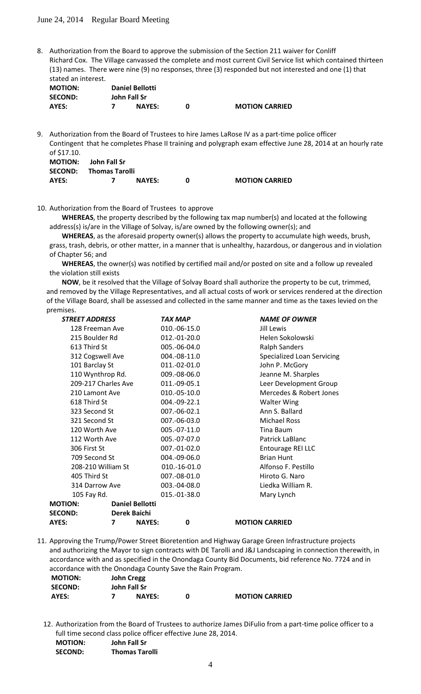8. Authorization from the Board to approve the submission of the Section 211 waiver for Conliff Richard Cox. The Village canvassed the complete and most current Civil Service list which contained thirteen (13) names. There were nine (9) no responses, three (3) responded but not interested and one (1) that stated an interest.

| <b>Daniel Bellotti</b> |  |  |  |  |  |
|------------------------|--|--|--|--|--|
|                        |  |  |  |  |  |
| <b>MOTION CARRIED</b>  |  |  |  |  |  |
|                        |  |  |  |  |  |

9. Authorization from the Board of Trustees to hire James LaRose IV as a part-time police officer Contingent that he completes Phase II training and polygraph exam effective June 28, 2014 at an hourly rate of \$17.10. **MOTION: John Fall Sr**

|       | SECOND: Thomas Tarolli |               |  |                       |
|-------|------------------------|---------------|--|-----------------------|
| AYES: |                        | <b>NAYES:</b> |  | <b>MOTION CARRIED</b> |

10. Authorization from the Board of Trustees to approve

**WHEREAS**, the property described by the following tax map number(s) and located at the following address(s) is/are in the Village of Solvay, is/are owned by the following owner(s); and

**WHEREAS**, as the aforesaid property owner(s) allows the property to accumulate high weeds, brush, grass, trash, debris, or other matter, in a manner that is unhealthy, hazardous, or dangerous and in violation of Chapter 56; and

**WHEREAS**, the owner(s) was notified by certified mail and/or posted on site and a follow up revealed the violation still exists

**NOW**, be it resolved that the Village of Solvay Board shall authorize the property to be cut, trimmed, and removed by the Village Representatives, and all actual costs of work or services rendered at the direction of the Village Board, shall be assessed and collected in the same manner and time as the taxes levied on the premises.

|               | <b>STREET ADDRESS</b> |                         |                        | TAX MAP      | <b>NAME OF OWNER</b>       |
|---------------|-----------------------|-------------------------|------------------------|--------------|----------------------------|
|               | 128 Freeman Ave       |                         |                        | 010.-06-15.0 | Jill Lewis                 |
|               | 215 Boulder Rd        |                         |                        | 012.-01-20.0 | Helen Sokolowski           |
|               | 613 Third St          |                         |                        | 005.-06-04.0 | <b>Ralph Sanders</b>       |
|               | 312 Cogswell Ave      |                         |                        | 004.-08-11.0 | Specialized Loan Servicing |
|               | 101 Barclay St        |                         |                        | 011.-02-01.0 | John P. McGory             |
|               | 110 Wynthrop Rd.      |                         |                        | 009.-08-06.0 | Jeanne M. Sharples         |
|               | 209-217 Charles Ave   |                         |                        | 011.-09-05.1 | Leer Development Group     |
|               | 210 Lamont Ave        |                         |                        | 010.-05-10.0 | Mercedes & Robert Jones    |
|               | 618 Third St          |                         |                        | 004.-09-22.1 | <b>Walter Wing</b>         |
|               | 323 Second St         |                         |                        | 007.-06-02.1 | Ann S. Ballard             |
|               | 321 Second St         |                         |                        | 007.-06-03.0 | <b>Michael Ross</b>        |
| 120 Worth Ave |                       |                         | 005.-07-11.0           | Tina Baum    |                            |
|               | 112 Worth Ave         |                         |                        | 005.-07-07.0 | Patrick LaBlanc            |
|               | 306 First St          |                         |                        | 007.-01-02.0 | Entourage REI LLC          |
|               | 709 Second St         |                         |                        | 004.-09-06.0 | <b>Brian Hunt</b>          |
|               | 208-210 William St    |                         |                        | 010.-16-01.0 | Alfonso F. Pestillo        |
|               | 405 Third St          |                         |                        | 007.-08-01.0 | Hiroto G. Naro             |
|               | 314 Darrow Ave        |                         |                        | 003.-04-08.0 | Liedka William R.          |
|               | 105 Fay Rd.           |                         |                        | 015.-01-38.0 | Mary Lynch                 |
|               | <b>MOTION:</b>        |                         | <b>Daniel Bellotti</b> |              |                            |
|               | <b>SECOND:</b>        | Derek Baichi            |                        |              |                            |
|               | <b>AYES:</b>          | $\overline{\mathbf{z}}$ | <b>NAYES:</b>          | 0            | <b>MOTION CARRIED</b>      |
|               |                       |                         |                        |              |                            |

11. Approving the Trump/Power Street Bioretention and Highway Garage Green Infrastructure projects and authorizing the Mayor to sign contracts with DE Tarolli and J&J Landscaping in connection therewith, in accordance with and as specified in the Onondaga County Bid Documents, bid reference No. 7724 and in accordance with the Onondaga County Save the Rain Program.

| <b>MOTION:</b> | <b>John Cregg</b> |               |  |                       |
|----------------|-------------------|---------------|--|-----------------------|
| <b>SECOND:</b> | John Fall Sr      |               |  |                       |
| AYES:          |                   | <b>NAYES:</b> |  | <b>MOTION CARRIED</b> |

12. Authorization from the Board of Trustees to authorize James DiFulio from a part-time police officer to a full time second class police officer effective June 28, 2014. **MOTION: John Fall Sr SECOND: Thomas Tarolli**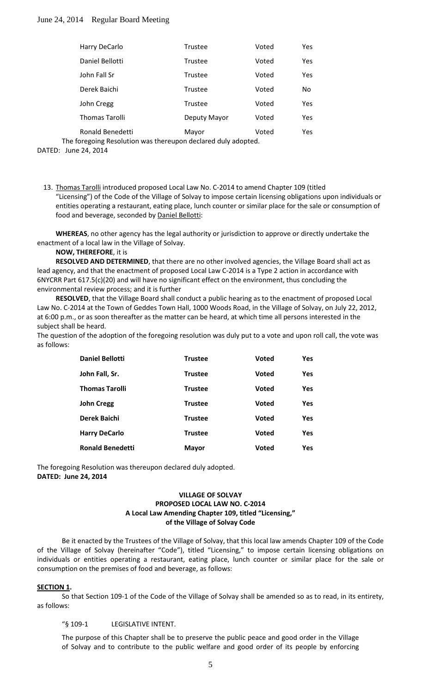| Harry DeCarlo         | <b>Trustee</b> | Voted | Yes |
|-----------------------|----------------|-------|-----|
| Daniel Bellotti       | Trustee        | Voted | Yes |
| John Fall Sr          | <b>Trustee</b> | Voted | Yes |
| Derek Baichi          | Trustee        | Voted | No  |
| John Cregg            | <b>Trustee</b> | Voted | Yes |
| <b>Thomas Tarolli</b> | Deputy Mayor   | Voted | Yes |
| Ronald Benedetti      | Mayor          | Voted | Yes |

The foregoing Resolution was thereupon declared duly adopted.

DATED: June 24, 2014

13. Thomas Tarolli introduced proposed Local Law No. C-2014 to amend Chapter 109 (titled "Licensing") of the Code of the Village of Solvay to impose certain licensing obligations upon individuals or entities operating a restaurant, eating place, lunch counter or similar place for the sale or consumption of food and beverage, seconded by **Daniel Bellotti:** 

**WHEREAS**, no other agency has the legal authority or jurisdiction to approve or directly undertake the enactment of a local law in the Village of Solvay.

**NOW, THEREFORE**, it is

**RESOLVED AND DETERMINED**, that there are no other involved agencies, the Village Board shall act as lead agency, and that the enactment of proposed Local Law C-2014 is a Type 2 action in accordance with 6NYCRR Part 617.5(c)(20) and will have no significant effect on the environment, thus concluding the environmental review process; and it is further

**RESOLVED**, that the Village Board shall conduct a public hearing as to the enactment of proposed Local Law No. C-2014 at the Town of Geddes Town Hall, 1000 Woods Road, in the Village of Solvay, on July 22, 2012, at 6:00 p.m., or as soon thereafter as the matter can be heard, at which time all persons interested in the subject shall be heard.

The question of the adoption of the foregoing resolution was duly put to a vote and upon roll call, the vote was as follows:

| <b>Daniel Bellotti</b>  | <b>Trustee</b> | <b>Voted</b> | <b>Yes</b> |
|-------------------------|----------------|--------------|------------|
| John Fall, Sr.          | <b>Trustee</b> | <b>Voted</b> | <b>Yes</b> |
| <b>Thomas Tarolli</b>   | <b>Trustee</b> | <b>Voted</b> | <b>Yes</b> |
| <b>John Cregg</b>       | <b>Trustee</b> | <b>Voted</b> | <b>Yes</b> |
| Derek Baichi            | <b>Trustee</b> | <b>Voted</b> | <b>Yes</b> |
| <b>Harry DeCarlo</b>    | <b>Trustee</b> | <b>Voted</b> | <b>Yes</b> |
| <b>Ronald Benedetti</b> | <b>Mayor</b>   | <b>Voted</b> | Yes        |

The foregoing Resolution was thereupon declared duly adopted. **DATED: June 24, 2014**

# **VILLAGE OF SOLVAY PROPOSED LOCAL LAW NO. C-2014 A Local Law Amending Chapter 109, titled "Licensing," of the Village of Solvay Code**

Be it enacted by the Trustees of the Village of Solvay, that this local law amends Chapter 109 of the Code of the Village of Solvay (hereinafter "Code"), titled "Licensing," to impose certain licensing obligations on individuals or entities operating a restaurant, eating place, lunch counter or similar place for the sale or consumption on the premises of food and beverage, as follows:

## **SECTION 1 .**

So that Section 109-1 of the Code of the Village of Solvay shall be amended so as to read, in its entirety, as follows:

"§ 109-1 LEGISLATIVE INTENT.

The purpose of this Chapter shall be to preserve the public peace and good order in the Village of Solvay and to contribute to the public welfare and good order of its people by enforcing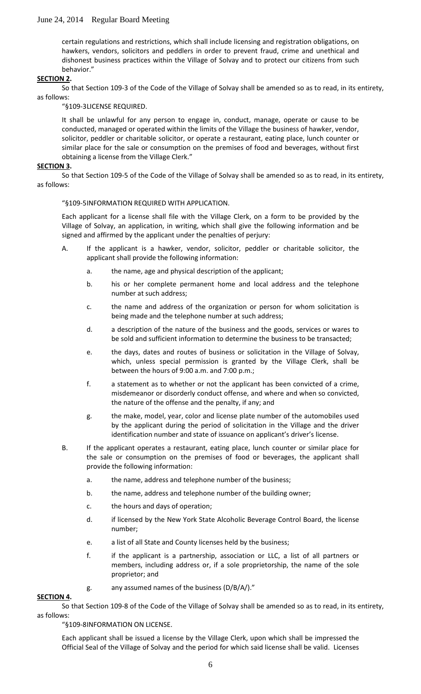certain regulations and restrictions, which shall include licensing and registration obligations, on hawkers, vendors, solicitors and peddlers in order to prevent fraud, crime and unethical and dishonest business practices within the Village of Solvay and to protect our citizens from such behavior."

## **SECTION 2 .**

So that Section 109-3 of the Code of the Village of Solvay shall be amended so as to read, in its entirety, as follows:

"§109-3LICENSE REQUIRED.

It shall be unlawful for any person to engage in, conduct, manage, operate or cause to be conducted, managed or operated within the limits of the Village the business of hawker, vendor, solicitor, peddler or charitable solicitor, or operate a restaurant, eating place, lunch counter or similar place for the sale or consumption on the premises of food and beverages, without first obtaining a license from the Village Clerk."

### **SECTION 3 .**

So that Section 109-5 of the Code of the Village of Solvay shall be amended so as to read, in its entirety, as follows:

### "§109-5INFORMATION REQUIRED WITH APPLICATION.

Each applicant for a license shall file with the Village Clerk, on a form to be provided by the Village of Solvay, an application, in writing, which shall give the following information and be signed and affirmed by the applicant under the penalties of perjury:

- A. If the applicant is a hawker, vendor, solicitor, peddler or charitable solicitor, the applicant shall provide the following information:
	- a. the name, age and physical description of the applicant;
	- b. his or her complete permanent home and local address and the telephone number at such address;
	- c. the name and address of the organization or person for whom solicitation is being made and the telephone number at such address;
	- d. a description of the nature of the business and the goods, services or wares to be sold and sufficient information to determine the business to be transacted;
	- e. the days, dates and routes of business or solicitation in the Village of Solvay, which, unless special permission is granted by the Village Clerk, shall be between the hours of 9:00 a.m. and 7:00 p.m.;
	- f. a statement as to whether or not the applicant has been convicted of a crime, misdemeanor or disorderly conduct offense, and where and when so convicted, the nature of the offense and the penalty, if any; and
	- g. the make, model, year, color and license plate number of the automobiles used by the applicant during the period of solicitation in the Village and the driver identification number and state of issuance on applicant's driver's license.
- B. If the applicant operates a restaurant, eating place, lunch counter or similar place for the sale or consumption on the premises of food or beverages, the applicant shall provide the following information:
	- a. the name, address and telephone number of the business;
	- b. the name, address and telephone number of the building owner;
	- c. the hours and days of operation;
	- d. if licensed by the New York State Alcoholic Beverage Control Board, the license number;
	- e. a list of all State and County licenses held by the business;
	- f. if the applicant is a partnership, association or LLC, a list of all partners or members, including address or, if a sole proprietorship, the name of the sole proprietor; and
	- g. any assumed names of the business (D/B/A/)."

## **SECTION 4 .**

So that Section 109-8 of the Code of the Village of Solvay shall be amended so as to read, in its entirety, as follows:

"§109-8INFORMATION ON LICENSE.

Each applicant shall be issued a license by the Village Clerk, upon which shall be impressed the Official Seal of the Village of Solvay and the period for which said license shall be valid. Licenses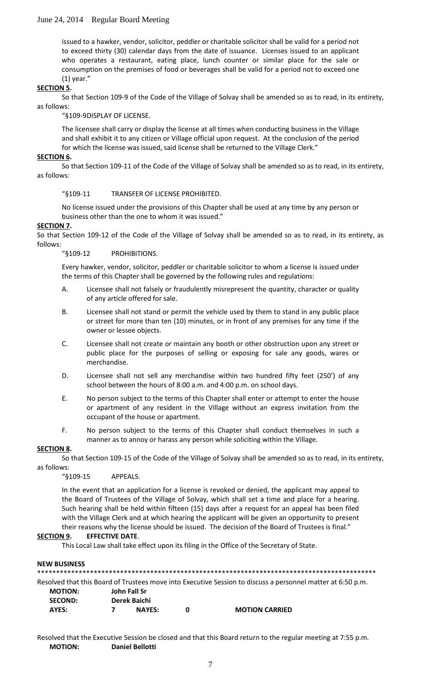issued to a hawker, vendor, solicitor, peddler or charitable solicitor shall be valid for a period not to exceed thirty (30) calendar days from the date of issuance. Licenses issued to an applicant who operates a restaurant, eating place, lunch counter or similar place for the sale or consumption on the premises of food or beverages shall be valid for a period not to exceed one (1) year."

## **SECTION 5 .**

So that Section 109-9 of the Code of the Village of Solvay shall be amended so as to read, in its entirety, as follows:

"§109-9DISPLAY OF LICENSE.

The licensee shall carry or display the license at all times when conducting business in the Village and shall exhibit it to any citizen or Village official upon request. At the conclusion of the period for which the license was issued, said license shall be returned to the Village Clerk."

#### **SECTION 6 .**

So that Section 109-11 of the Code of the Village of Solvay shall be amended so as to read, in its entirety, as follows:

"§109-11 TRANSFER OF LICENSE PROHIBITED.

No license issued under the provisions of this Chapter shall be used at any time by any person or business other than the one to whom it was issued."

#### **SECTION 7 .**

So that Section 109-12 of the Code of the Village of Solvay shall be amended so as to read, in its entirety, as follows:

"§109-12 PROHIBITIONS.

Every hawker, vendor, solicitor, peddler or charitable solicitor to whom a license is issued under the terms of this Chapter shall be governed by the following rules and regulations:

- A. Licensee shall not falsely or fraudulently misrepresent the quantity, character or quality of any article offered for sale.
- B. Licensee shall not stand or permit the vehicle used by them to stand in any public place or street for more than ten (10) minutes, or in front of any premises for any time if the owner or lessee objects.
- C. Licensee shall not create or maintain any booth or other obstruction upon any street or public place for the purposes of selling or exposing for sale any goods, wares or merchandise.
- D. Licensee shall not sell any merchandise within two hundred fifty feet (250') of any school between the hours of 8:00 a.m. and 4:00 p.m. on school days.
- E. No person subject to the terms of this Chapter shall enter or attempt to enter the house or apartment of any resident in the Village without an express invitation from the occupant of the house or apartment.
- F. No person subject to the terms of this Chapter shall conduct themselves in such a manner as to annoy or harass any person while soliciting within the Village.

### **SECTION 8 .**

So that Section 109-15 of the Code of the Village of Solvay shall be amended so as to read, in its entirety, as follows:

"§109-15 APPEALS.

In the event that an application for a license is revoked or denied, the applicant may appeal to the Board of Trustees of the Village of Solvay, which shall set a time and place for a hearing. Such hearing shall be held within fifteen (15) days after a request for an appeal has been filed with the Village Clerk and at which hearing the applicant will be given an opportunity to present their reasons why the license should be issued. The decision of the Board of Trustees is final."

#### **SECTION 9 . EFFECTIVE DATE**.

This Local Law shall take effect upon its filing in the Office of the Secretary of State.

#### **NEW BUSINESS**

\*\*\*\*\*\*\*\*\*\*\*\*\*\*\*\*\*\*\*\*\*\*\*\*\*\*\*\*\*\*\*\*\*\*\*\*\*\*\*\*\*\*\*\*\*\*\*\*\*\*\*\*\*\*\*\*\*\*\*\*\*\*\*\*\*\*\*\*\*\*\*\*\*\*\*\*\*\*\*\*\*\*\*\*\*\*\*\*\*\* Resolved that this Board of Trustees move into Executive Session to discuss a personnel matter at 6:50 p.m. **MOTION: John Fall Sr SECOND: Derek Baichi AYES: 7 NAYES: 0 MOTION CARRIED**

Resolved that the Executive Session be closed and that this Board return to the regular meeting at 7:55 p.m. **MOTION: Daniel Bellotti**